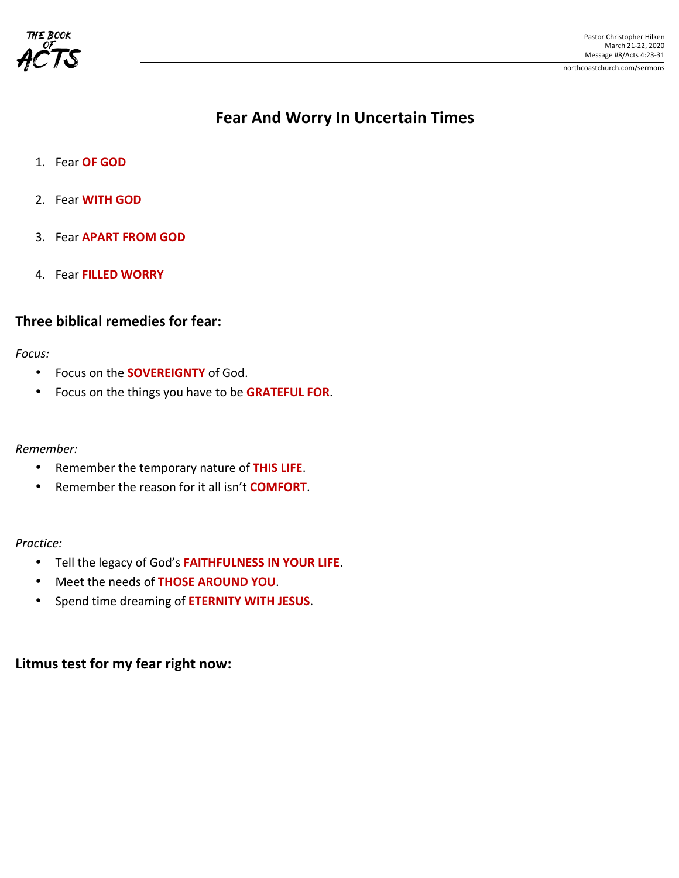

# **Fear And Worry In Uncertain Times**

- 1. Fear **OF GOD**
- 2. Fear **WITH GOD**
- 3. Fear **APART FROM GOD**
- 4. Fear **FILLED WORRY**

### **Three biblical remedies for fear:**

#### *Focus:*

- Focus on the **SOVEREIGNTY** of God.
- Focus on the things you have to be **GRATEFUL FOR.**

#### *Remember:*

- Remember the temporary nature of THIS LIFE.
- Remember the reason for it all isn't **COMFORT**.

#### *Practice:*

- Tell the legacy of God's FAITHFULNESS IN YOUR LIFE.
- Meet the needs of **THOSE AROUND YOU**.
- Spend time dreaming of **ETERNITY WITH JESUS**.

## Litmus test for my fear right now: